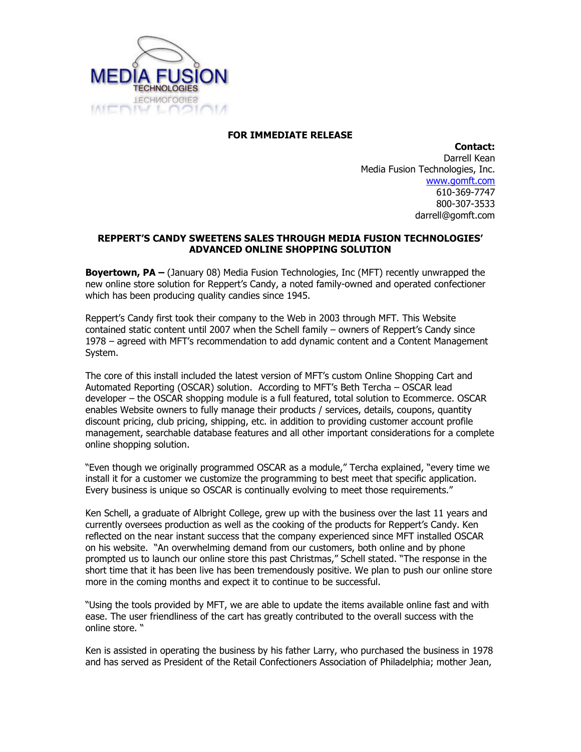

## FOR IMMEDIATE RELEASE

Contact: Darrell Kean Media Fusion Technologies, Inc. www.gomft.com 610-369-7747 800-307-3533 darrell@gomft.com

## REPPERT'S CANDY SWEETENS SALES THROUGH MEDIA FUSION TECHNOLOGIES' ADVANCED ONLINE SHOPPING SOLUTION

**Boyertown, PA** – (January 08) Media Fusion Technologies, Inc (MFT) recently unwrapped the new online store solution for Reppert's Candy, a noted family-owned and operated confectioner which has been producing quality candies since 1945.

Reppert's Candy first took their company to the Web in 2003 through MFT. This Website contained static content until 2007 when the Schell family – owners of Reppert's Candy since 1978 – agreed with MFT's recommendation to add dynamic content and a Content Management System.

The core of this install included the latest version of MFT's custom Online Shopping Cart and Automated Reporting (OSCAR) solution. According to MFT's Beth Tercha – OSCAR lead developer – the OSCAR shopping module is a full featured, total solution to Ecommerce. OSCAR enables Website owners to fully manage their products / services, details, coupons, quantity discount pricing, club pricing, shipping, etc. in addition to providing customer account profile management, searchable database features and all other important considerations for a complete online shopping solution.

"Even though we originally programmed OSCAR as a module," Tercha explained, "every time we install it for a customer we customize the programming to best meet that specific application. Every business is unique so OSCAR is continually evolving to meet those requirements."

Ken Schell, a graduate of Albright College, grew up with the business over the last 11 years and currently oversees production as well as the cooking of the products for Reppert's Candy. Ken reflected on the near instant success that the company experienced since MFT installed OSCAR on his website. "An overwhelming demand from our customers, both online and by phone prompted us to launch our online store this past Christmas," Schell stated. "The response in the short time that it has been live has been tremendously positive. We plan to push our online store more in the coming months and expect it to continue to be successful.

"Using the tools provided by MFT, we are able to update the items available online fast and with ease. The user friendliness of the cart has greatly contributed to the overall success with the online store. "

Ken is assisted in operating the business by his father Larry, who purchased the business in 1978 and has served as President of the Retail Confectioners Association of Philadelphia; mother Jean,